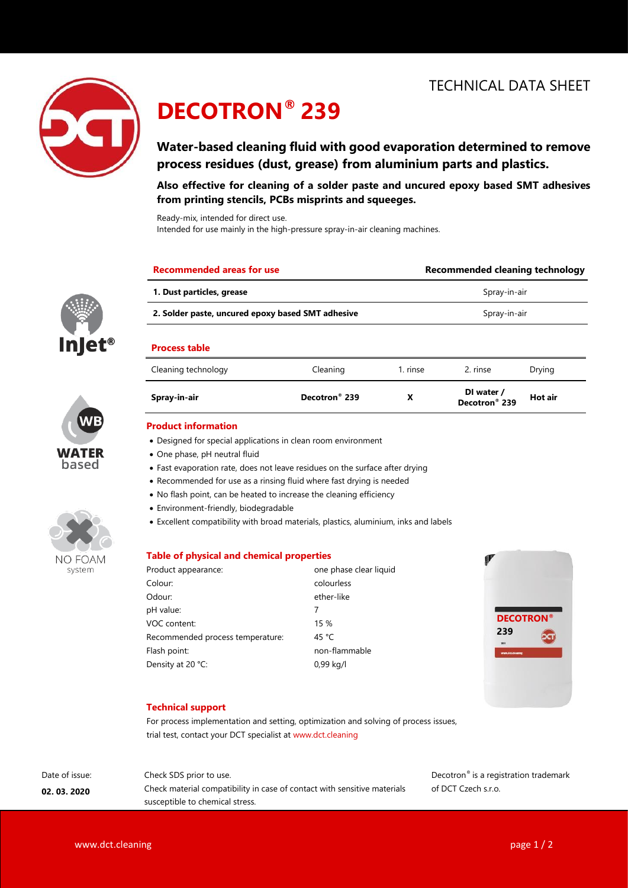

llet®

WATER based

NO FOAM system

# **DECOTRON® 239**

# **Water-based cleaning fluid with good evaporation determined to remove process residues (dust, grease) from aluminium parts and plastics.**

**Also effective for cleaning of a solder paste and uncured epoxy based SMT adhesives from printing stencils, PCBs misprints and squeeges.**

Ready-mix, intended for direct use.

Intended for use mainly in the high-pressure spray-in-air cleaning machines.

| <b>Recommended areas for use</b>                  |                                                                              | Recommended cleaning technology<br>Spray-in-air<br>Spray-in-air |                                         |         |
|---------------------------------------------------|------------------------------------------------------------------------------|-----------------------------------------------------------------|-----------------------------------------|---------|
| 1. Dust particles, grease                         |                                                                              |                                                                 |                                         |         |
| 2. Solder paste, uncured epoxy based SMT adhesive |                                                                              |                                                                 |                                         |         |
| <b>Process table</b>                              |                                                                              |                                                                 |                                         |         |
| Cleaning technology                               | Cleaning                                                                     | 1. rinse                                                        | 2. rinse                                | Drying  |
| Spray-in-air                                      | Decotron <sup>®</sup> 239                                                    | X                                                               | DI water /<br>Decotron <sup>®</sup> 239 | Hot air |
| <b>Product information</b>                        |                                                                              |                                                                 |                                         |         |
|                                                   | • Designed for special applications in clean room environment                |                                                                 |                                         |         |
| • One phase, pH neutral fluid                     |                                                                              |                                                                 |                                         |         |
|                                                   | • Fast evaporation rate, does not leave residues on the surface after drying |                                                                 |                                         |         |
|                                                   | • Recommended for use as a rinsing fluid where fast drying is needed         |                                                                 |                                         |         |

- No flash point, can be heated to increase the cleaning efficiency
- Environment-friendly, biodegradable
- Excellent compatibility with broad materials, plastics, aluminium, inks and labels

### **Table of physical and chemical properties**

| Product appearance:              | one phase clear liquid |  |
|----------------------------------|------------------------|--|
| Colour:                          | colourless             |  |
| Odour:                           | ether-like             |  |
| pH value:                        | 7                      |  |
| VOC content:                     | 15 %                   |  |
| Recommended process temperature: | 45 °C                  |  |
| Flash point:                     | non-flammable          |  |
| Density at 20 °C:                | 0,99 kg/l              |  |



### **Technical support**

For process implementation and setting, optimization and solving of process issues, trial test, contact your DCT specialist at www.dct.cleaning

Date of issue: **02. 03. 2020**

Check SDS prior to use. Check material compatibility in case of contact with sensitive materials susceptible to chemical stress.

Decotron® is a registration trademark of DCT Czech s.r.o.